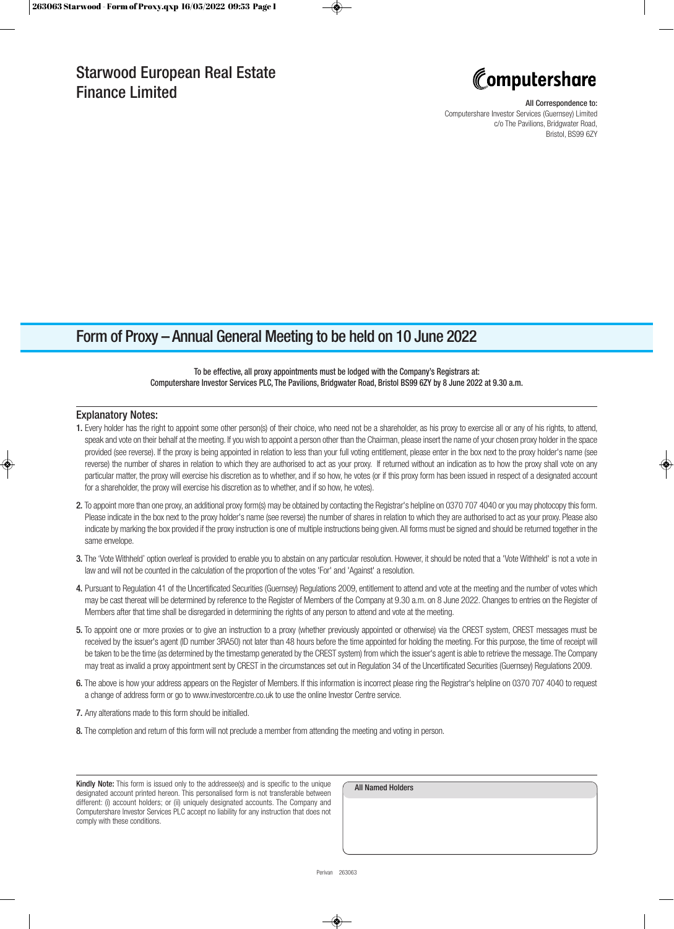

#### All Correspondence to:

Computershare Investor Services (Guernsey) Limited c/o The Pavilions, Bridgwater Road, Bristol, BS99 6ZY

## Form of Proxy – Annual General Meeting to be held on 10 June 2022

### To be effective, all proxy appointments must be lodged with the Company's Registrars at: Computershare Investor Services PLC, The Pavilions, Bridgwater Road, Bristol BS99 6ZY by 8 June 2022 at 9.30 a.m.

#### Explanatory Notes:

- 1. Every holder has the right to appoint some other person(s) of their choice, who need not be a shareholder, as his proxy to exercise all or any of his rights, to attend, speak and vote on their behalf at the meeting. If you wish to appoint a person other than the Chairman, please insert the name of your chosen proxy holder in the space provided (see reverse). If the proxy is being appointed in relation to less than your full voting entitlement, please enter in the box next to the proxy holder's name (see reverse) the number of shares in relation to which they are authorised to act as your proxy. If returned without an indication as to how the proxy shall vote on any particular matter, the proxy will exercise his discretion as to whether, and if so how, he votes (or if this proxy form has been issued in respect of a designated account for a shareholder, the proxy will exercise his discretion as to whether, and if so how, he votes).
- 2. To appoint more than one proxy, an additional proxy form(s) may be obtained by contacting the Registrar's helpline on 0370 707 4040 or you may photocopy this form. Please indicate in the box next to the proxy holder's name (see reverse) the number of shares in relation to which they are authorised to act as your proxy. Please also indicate by marking the box provided if the proxy instruction is one of multiple instructions being given. All forms must be signed and should be returned together in the same envelope.
- 3. The 'Vote Withheld' option overleaf is provided to enable you to abstain on any particular resolution. However, it should be noted that a 'Vote Withheld' is not a vote in law and will not be counted in the calculation of the proportion of the votes 'For' and 'Against' a resolution.
- 4. Pursuant to Regulation 41 of the Uncertificated Securities (Guernsey) Regulations 2009, entitlement to attend and vote at the meeting and the number of votes which may be cast thereat will be determined by reference to the Register of Members of the Company at 9.30 a.m. on 8 June 2022. Changes to entries on the Register of Members after that time shall be disregarded in determining the rights of any person to attend and vote at the meeting.
- 5. To appoint one or more proxies or to give an instruction to a proxy (whether previously appointed or otherwise) via the CREST system, CREST messages must be received by the issuer's agent (ID number 3RA50) not later than 48 hours before the time appointed for holding the meeting. For this purpose, the time of receipt will be taken to be the time (as determined by the timestamp generated by the CREST system) from which the issuer's agent is able to retrieve the message. The Company may treat as invalid a proxy appointment sent by CREST in the circumstances set out in Regulation 34 of the Uncertificated Securities (Guernsey) Regulations 2009.
- 6. The above is how your address appears on the Register of Members. If this information is incorrect please ring the Registrar's helpline on 0370 707 4040 to request a change of address form or go to www.investorcentre.co.uk to use the online Investor Centre service.
- 7. Any alterations made to this form should be initialled.
- 8. The completion and return of this form will not preclude a member from attending the meeting and voting in person.

Kindly Note: This form is issued only to the addressee(s) and is specific to the unique designated account printed hereon. This personalised form is not transferable between different: (i) account holders; or (ii) uniquely designated accounts. The Company and Computershare Investor Services PLC accept no liability for any instruction that does not comply with these conditions.

| <b>All Named Holders</b> |  |  |
|--------------------------|--|--|
|                          |  |  |
|                          |  |  |
|                          |  |  |
|                          |  |  |
|                          |  |  |
|                          |  |  |
|                          |  |  |
|                          |  |  |